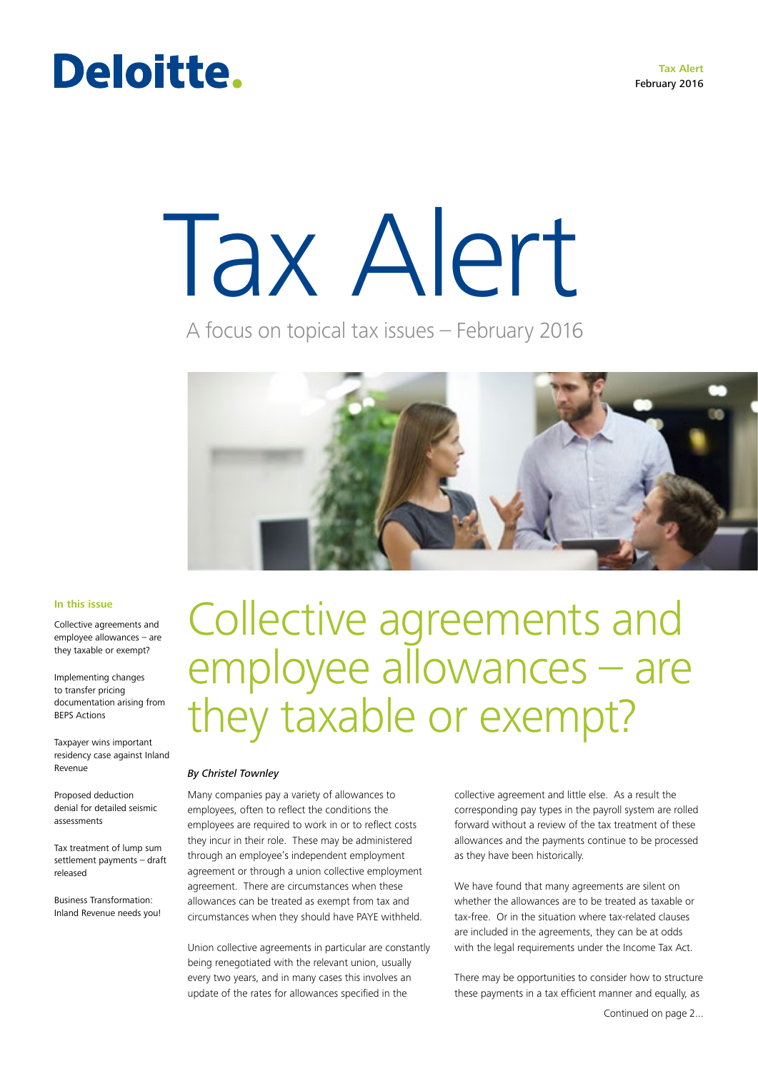**Tax Alert** February 2016

### Deloitte.

# Tax Alert

A focus on topical tax issues – February 2016



#### **In this issue**

Collective agreements and employee allowances – are they taxable or exempt?

Implementing changes to transfer pricing documentation arising from BEPS Actions

Taxpayer wins important residency case against Inland Revenue

Proposed deduction denial for detailed seismic assessments

Tax treatment of lump sum settlement payments – draft released

Business Transformation: Inland Revenue needs you!

Collective agreements and employee allowances – are they taxable or exempt?

#### *By Christel Townley*

Many companies pay a variety of allowances to employees, often to reflect the conditions the employees are required to work in or to reflect costs they incur in their role. These may be administered through an employee's independent employment agreement or through a union collective employment agreement. There are circumstances when these allowances can be treated as exempt from tax and circumstances when they should have PAYE withheld.

Union collective agreements in particular are constantly being renegotiated with the relevant union, usually every two years, and in many cases this involves an update of the rates for allowances specified in the

collective agreement and little else. As a result the corresponding pay types in the payroll system are rolled forward without a review of the tax treatment of these allowances and the payments continue to be processed as they have been historically.

We have found that many agreements are silent on whether the allowances are to be treated as taxable or tax-free. Or in the situation where tax-related clauses are included in the agreements, they can be at odds with the legal requirements under the Income Tax Act.

There may be opportunities to consider how to structure these payments in a tax efficient manner and equally, as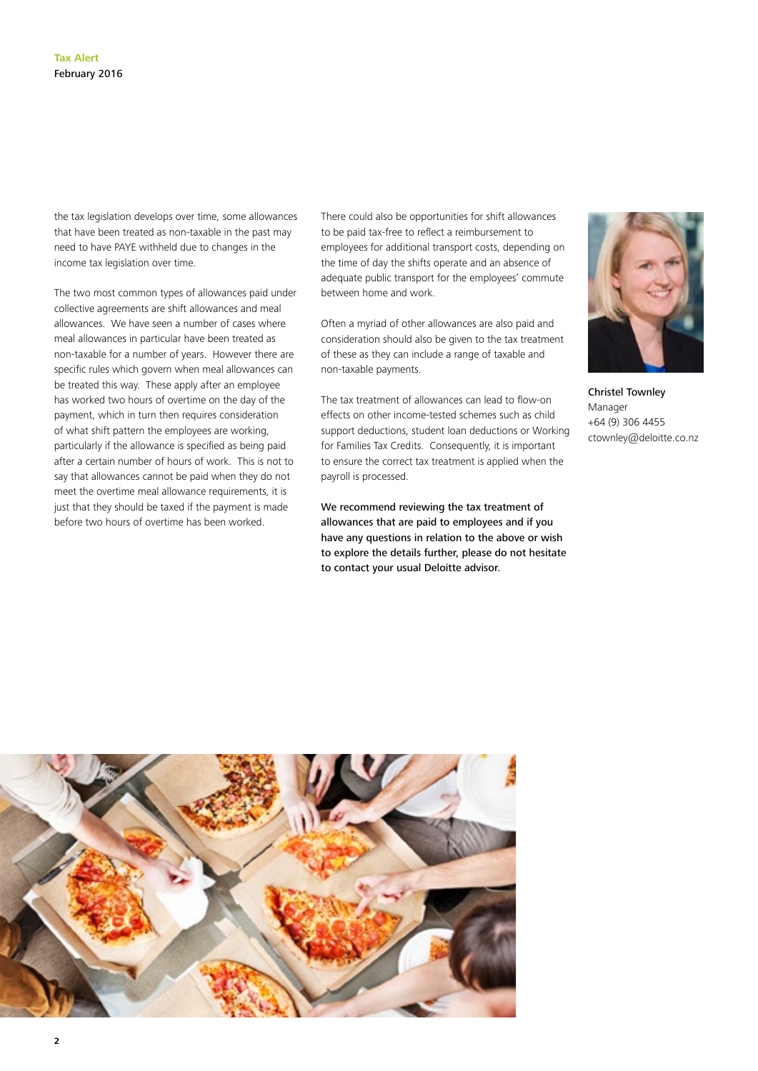**2**

the tax legislation develops over time, some allowances that have been treated as non-taxable in the past may need to have PAYE withheld due to changes in the income tax legislation over time.

The two most common types of allowances paid under collective agreements are shift allowances and meal allowances. We have seen a number of cases where meal allowances in particular have been treated as non-taxable for a number of years. However there are specific rules which govern when meal allowances can be treated this way. These apply after an employee has worked two hours of overtime on the day of the payment, which in turn then requires consideration of what shift pattern the employees are working, particularly if the allowance is specified as being paid after a certain number of hours of work. This is not to say that allowances cannot be paid when they do not meet the overtime meal allowance requirements, it is just that they should be taxed if the payment is made before two hours of overtime has been worked.

There could also be opportunities for shift allowances to be paid tax-free to reflect a reimbursement to employees for additional transport costs, depending on the time of day the shifts operate and an absence of adequate public transport for the employees' commute between home and work.

Often a myriad of other allowances are also paid and consideration should also be given to the tax treatment of these as they can include a range of taxable and non-taxable payments.

The tax treatment of allowances can lead to flow-on effects on other income-tested schemes such as child support deductions, student loan deductions or Working for Families Tax Credits. Consequently, it is important to ensure the correct tax treatment is applied when the payroll is processed.

We recommend reviewing the tax treatment of allowances that are paid to employees and if you have any questions in relation to the above or wish to explore the details further, please do not hesitate to contact your usual Deloitte advisor.



Christel Townley Manager +64 (9) 306 4455 ctownley@deloitte.co.nz

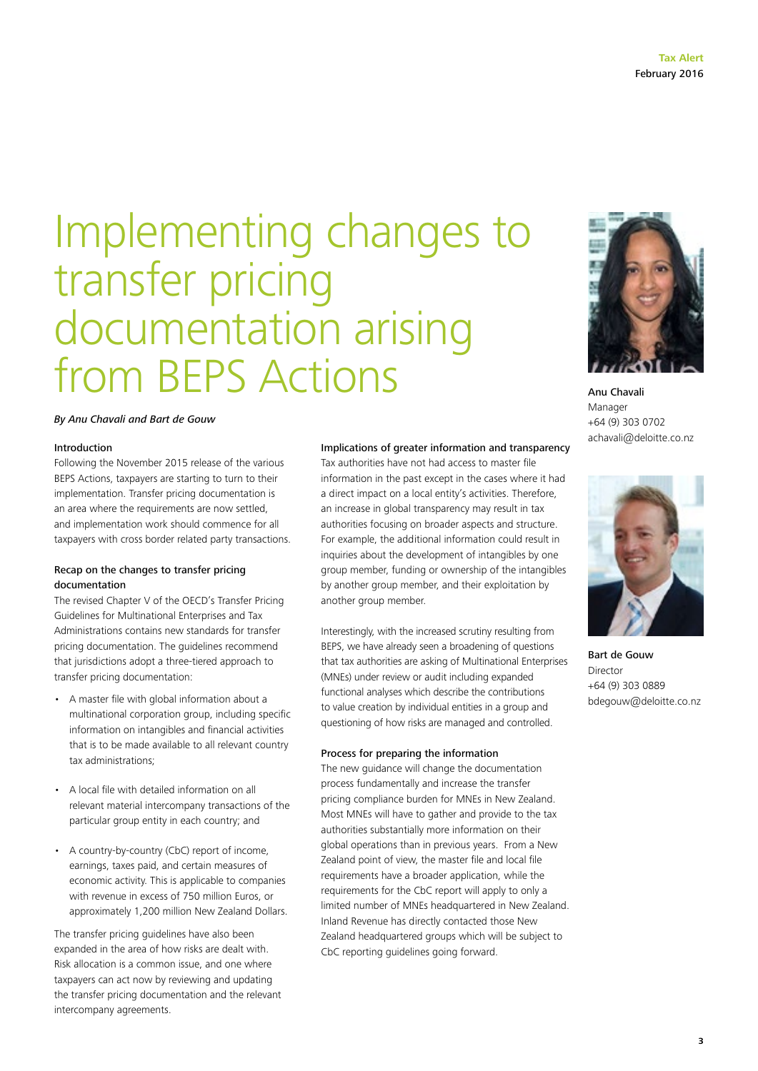### Implementing changes to transfer pricing documentation arising from BEPS Actions

#### *By Anu Chavali and Bart de Gouw*

#### Introduction

Following the November 2015 release of the various BEPS Actions, taxpayers are starting to turn to their implementation. Transfer pricing documentation is an area where the requirements are now settled, and implementation work should commence for all taxpayers with cross border related party transactions.

#### Recap on the changes to transfer pricing documentation

The revised Chapter V of the OECD's Transfer Pricing Guidelines for Multinational Enterprises and Tax Administrations contains new standards for transfer pricing documentation. The guidelines recommend that jurisdictions adopt a three-tiered approach to transfer pricing documentation:

- A master file with global information about a multinational corporation group, including specific information on intangibles and financial activities that is to be made available to all relevant country tax administrations;
- A local file with detailed information on all relevant material intercompany transactions of the particular group entity in each country; and
- A country-by-country (CbC) report of income, earnings, taxes paid, and certain measures of economic activity. This is applicable to companies with revenue in excess of 750 million Euros, or approximately 1,200 million New Zealand Dollars.

The transfer pricing guidelines have also been expanded in the area of how risks are dealt with. Risk allocation is a common issue, and one where taxpayers can act now by reviewing and updating the transfer pricing documentation and the relevant intercompany agreements.

#### Implications of greater information and transparency

Tax authorities have not had access to master file information in the past except in the cases where it had a direct impact on a local entity's activities. Therefore, an increase in global transparency may result in tax authorities focusing on broader aspects and structure. For example, the additional information could result in inquiries about the development of intangibles by one group member, funding or ownership of the intangibles by another group member, and their exploitation by another group member.

Interestingly, with the increased scrutiny resulting from BEPS, we have already seen a broadening of questions that tax authorities are asking of Multinational Enterprises (MNEs) under review or audit including expanded functional analyses which describe the contributions to value creation by individual entities in a group and questioning of how risks are managed and controlled.

#### Process for preparing the information

The new guidance will change the documentation process fundamentally and increase the transfer pricing compliance burden for MNEs in New Zealand. Most MNEs will have to gather and provide to the tax authorities substantially more information on their global operations than in previous years. From a New Zealand point of view, the master file and local file requirements have a broader application, while the requirements for the CbC report will apply to only a limited number of MNEs headquartered in New Zealand. Inland Revenue has directly contacted those New Zealand headquartered groups which will be subject to CbC reporting guidelines going forward.



Anu Chavali Manager +64 (9) 303 0702 achavali@deloitte.co.nz



Bart de Gouw Director +64 (9) 303 0889 bdegouw@deloitte.co.nz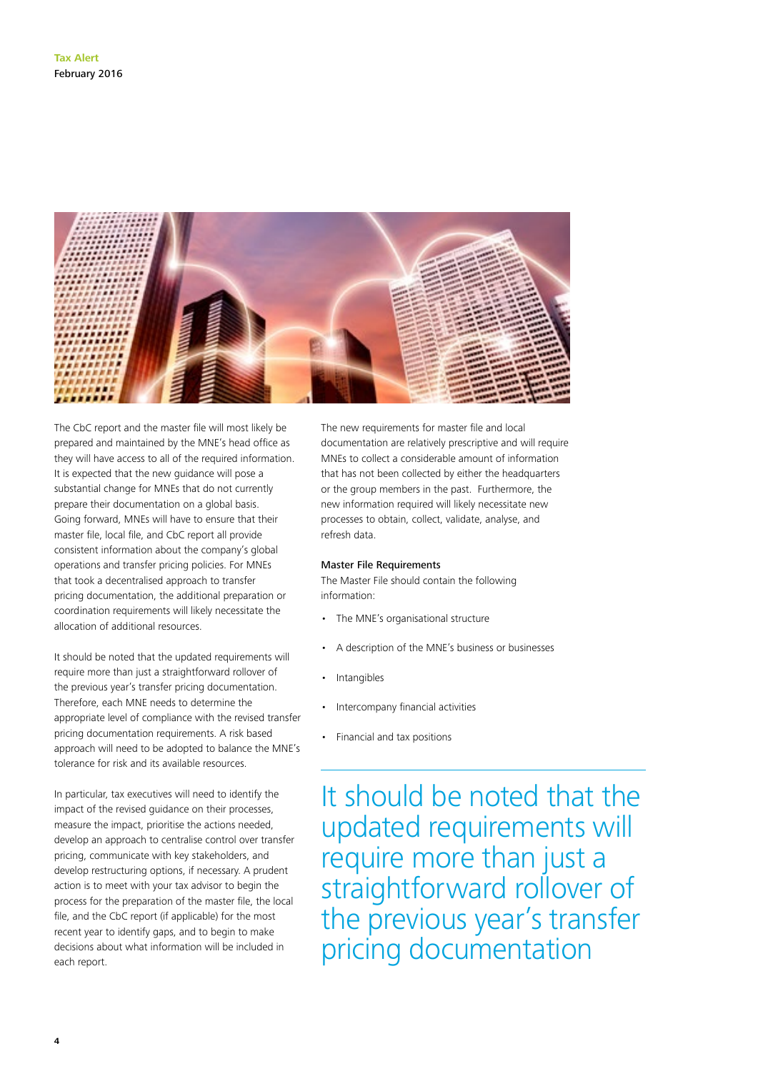

The CbC report and the master file will most likely be prepared and maintained by the MNE's head office as they will have access to all of the required information. It is expected that the new guidance will pose a substantial change for MNEs that do not currently prepare their documentation on a global basis. Going forward, MNEs will have to ensure that their master file, local file, and CbC report all provide consistent information about the company's global operations and transfer pricing policies. For MNEs that took a decentralised approach to transfer pricing documentation, the additional preparation or coordination requirements will likely necessitate the allocation of additional resources.

It should be noted that the updated requirements will require more than just a straightforward rollover of the previous year's transfer pricing documentation. Therefore, each MNE needs to determine the appropriate level of compliance with the revised transfer pricing documentation requirements. A risk based approach will need to be adopted to balance the MNE's tolerance for risk and its available resources.

In particular, tax executives will need to identify the impact of the revised guidance on their processes, measure the impact, prioritise the actions needed, develop an approach to centralise control over transfer pricing, communicate with key stakeholders, and develop restructuring options, if necessary. A prudent action is to meet with your tax advisor to begin the process for the preparation of the master file, the local file, and the CbC report (if applicable) for the most recent year to identify gaps, and to begin to make decisions about what information will be included in each report.

The new requirements for master file and local documentation are relatively prescriptive and will require MNEs to collect a considerable amount of information that has not been collected by either the headquarters or the group members in the past. Furthermore, the new information required will likely necessitate new processes to obtain, collect, validate, analyse, and refresh data.

#### Master File Requirements

The Master File should contain the following information:

- The MNE's organisational structure
- A description of the MNE's business or businesses
- **Intangibles**
- Intercompany financial activities
- Financial and tax positions

It should be noted that the updated requirements will require more than just a straightforward rollover of the previous year's transfer pricing documentation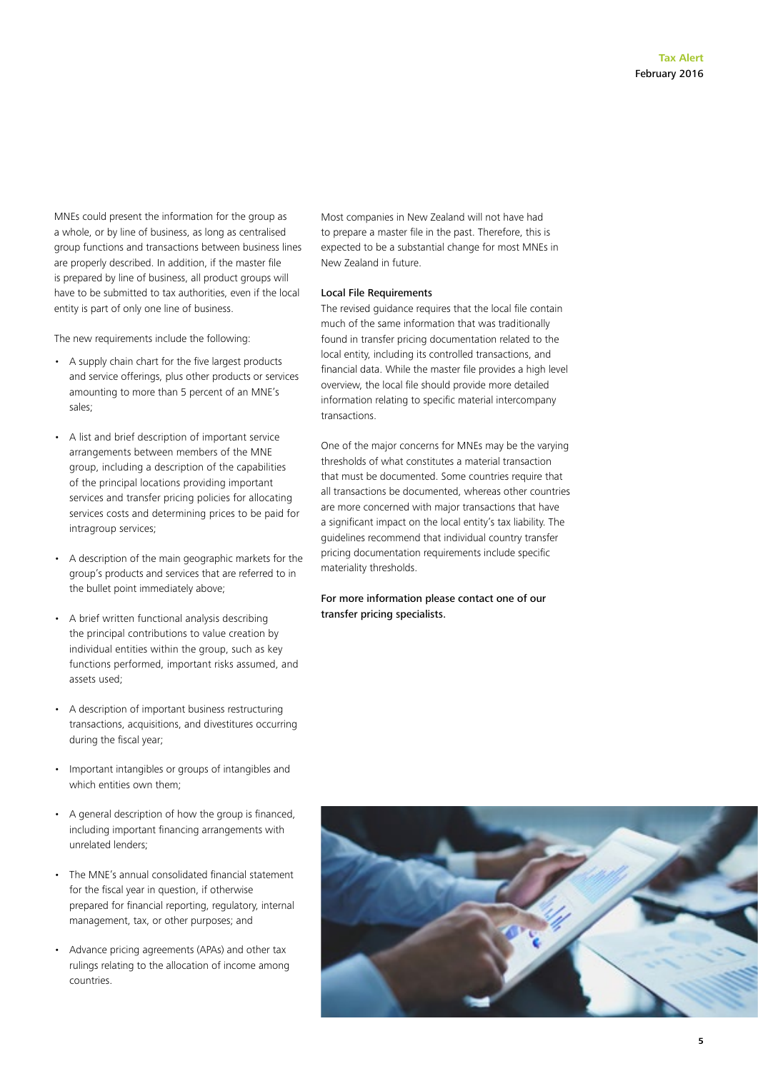MNEs could present the information for the group as a whole, or by line of business, as long as centralised group functions and transactions between business lines are properly described. In addition, if the master file is prepared by line of business, all product groups will have to be submitted to tax authorities, even if the local entity is part of only one line of business.

The new requirements include the following:

- A supply chain chart for the five largest products and service offerings, plus other products or services amounting to more than 5 percent of an MNE's sales;
- A list and brief description of important service arrangements between members of the MNE group, including a description of the capabilities of the principal locations providing important services and transfer pricing policies for allocating services costs and determining prices to be paid for intragroup services;
- A description of the main geographic markets for the group's products and services that are referred to in the bullet point immediately above;
- A brief written functional analysis describing the principal contributions to value creation by individual entities within the group, such as key functions performed, important risks assumed, and assets used;
- A description of important business restructuring transactions, acquisitions, and divestitures occurring during the fiscal year;
- Important intangibles or groups of intangibles and which entities own them;
- A general description of how the group is financed, including important financing arrangements with unrelated lenders;
- The MNE's annual consolidated financial statement for the fiscal year in question, if otherwise prepared for financial reporting, regulatory, internal management, tax, or other purposes; and
- Advance pricing agreements (APAs) and other tax rulings relating to the allocation of income among countries.

Most companies in New Zealand will not have had to prepare a master file in the past. Therefore, this is expected to be a substantial change for most MNEs in New Zealand in future.

#### Local File Requirements

The revised guidance requires that the local file contain much of the same information that was traditionally found in transfer pricing documentation related to the local entity, including its controlled transactions, and financial data. While the master file provides a high level overview, the local file should provide more detailed information relating to specific material intercompany transactions.

One of the major concerns for MNEs may be the varying thresholds of what constitutes a material transaction that must be documented. Some countries require that all transactions be documented, whereas other countries are more concerned with major transactions that have a significant impact on the local entity's tax liability. The guidelines recommend that individual country transfer pricing documentation requirements include specific materiality thresholds.

#### For more information please contact one of our transfer pricing specialists.



**5**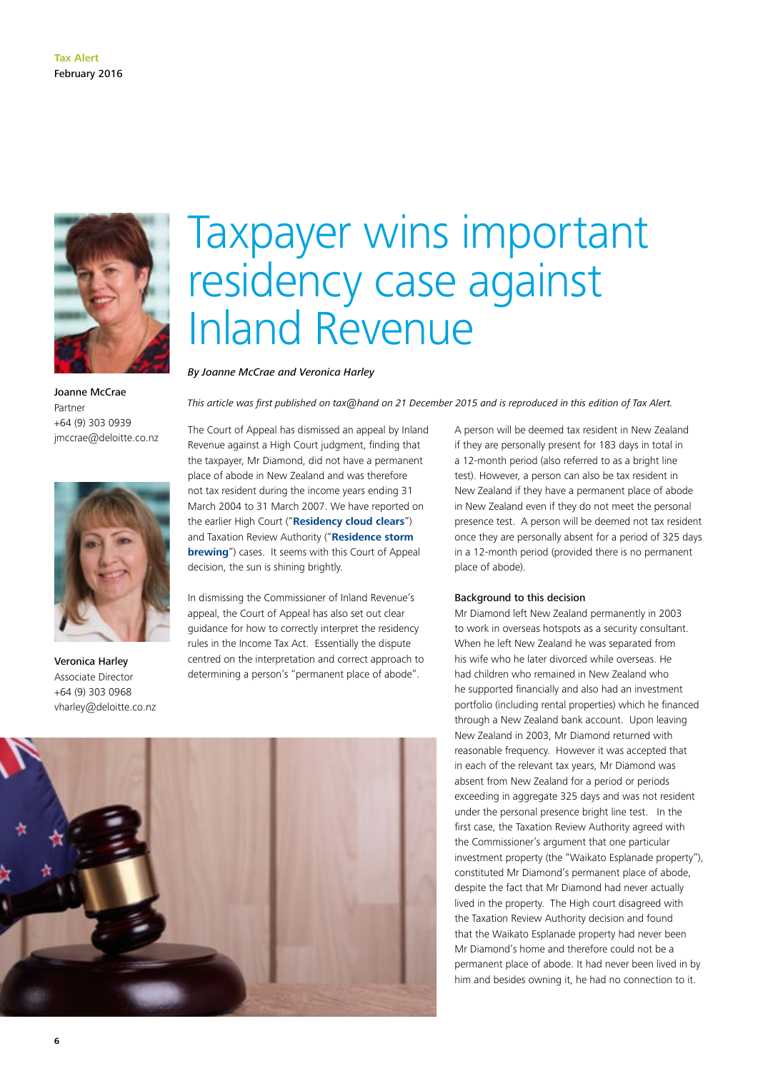

Joanne McCrae Partner +64 (9) 303 0939 jmccrae@deloitte.co.nz



Veronica Harley Associate Director +64 (9) 303 0968 vharley@deloitte.co.nz

**6**

### Taxpayer wins important residency case against Inland Revenue

*By Joanne McCrae and Veronica Harley*

*This article was first published on tax@hand on 21 December 2015 and is reproduced in this edition of Tax Alert.*

The Court of Appeal has dismissed an appeal by Inland Revenue against a High Court judgment, finding that the taxpayer, Mr Diamond, did not have a permanent place of abode in New Zealand and was therefore not tax resident during the income years ending 31 March 2004 to 31 March 2007. We have reported on the earlier High Court ("**[Residency cloud clears](http://taxathand.com/article/New-Zealand/2014/Residency-cloud-clears-as-taxpayer-wins-appeal)**") and Taxation Review Authority ("**[Residence storm](http://taxathand.com/article/New-Zealand/2014/Residence-storm-brewing)  [brewing](http://taxathand.com/article/New-Zealand/2014/Residence-storm-brewing)**") cases. It seems with this Court of Appeal decision, the sun is shining brightly.

In dismissing the Commissioner of Inland Revenue's appeal, the Court of Appeal has also set out clear guidance for how to correctly interpret the residency rules in the Income Tax Act. Essentially the dispute centred on the interpretation and correct approach to determining a person's "permanent place of abode".

A person will be deemed tax resident in New Zealand if they are personally present for 183 days in total in a 12-month period (also referred to as a bright line test). However, a person can also be tax resident in New Zealand if they have a permanent place of abode in New Zealand even if they do not meet the personal presence test. A person will be deemed not tax resident once they are personally absent for a period of 325 days in a 12-month period (provided there is no permanent place of abode).

#### Background to this decision

Mr Diamond left New Zealand permanently in 2003 to work in overseas hotspots as a security consultant. When he left New Zealand he was separated from his wife who he later divorced while overseas. He had children who remained in New Zealand who he supported financially and also had an investment portfolio (including rental properties) which he financed through a New Zealand bank account. Upon leaving New Zealand in 2003, Mr Diamond returned with reasonable frequency. However it was accepted that in each of the relevant tax years, Mr Diamond was absent from New Zealand for a period or periods exceeding in aggregate 325 days and was not resident under the personal presence bright line test. In the first case, the Taxation Review Authority agreed with the Commissioner's argument that one particular investment property (the "Waikato Esplanade property"), constituted Mr Diamond's permanent place of abode, despite the fact that Mr Diamond had never actually lived in the property. The High court disagreed with the Taxation Review Authority decision and found that the Waikato Esplanade property had never been Mr Diamond's home and therefore could not be a permanent place of abode. It had never been lived in by him and besides owning it, he had no connection to it.

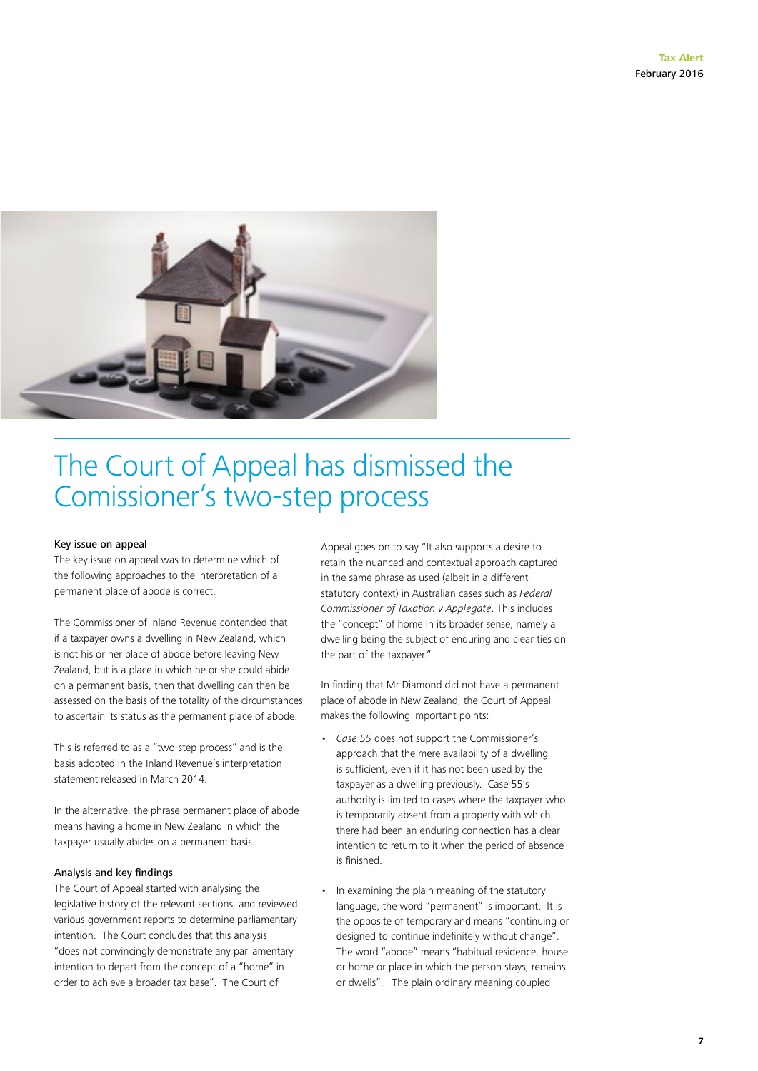

### The Court of Appeal has dismissed the Comissioner's two-step process

#### Key issue on appeal

The key issue on appeal was to determine which of the following approaches to the interpretation of a permanent place of abode is correct.

The Commissioner of Inland Revenue contended that if a taxpayer owns a dwelling in New Zealand, which is not his or her place of abode before leaving New Zealand, but is a place in which he or she could abide on a permanent basis, then that dwelling can then be assessed on the basis of the totality of the circumstances to ascertain its status as the permanent place of abode.

This is referred to as a "two-step process" and is the basis adopted in the Inland Revenue's interpretation statement released in March 2014.

In the alternative, the phrase permanent place of abode means having a home in New Zealand in which the taxpayer usually abides on a permanent basis.

#### Analysis and key findings

The Court of Appeal started with analysing the legislative history of the relevant sections, and reviewed various government reports to determine parliamentary intention. The Court concludes that this analysis "does not convincingly demonstrate any parliamentary intention to depart from the concept of a "home" in order to achieve a broader tax base". The Court of

Appeal goes on to say "It also supports a desire to retain the nuanced and contextual approach captured in the same phrase as used (albeit in a different statutory context) in Australian cases such as *Federal Commissioner of Taxation v Applegate*. This includes the "concept" of home in its broader sense, namely a dwelling being the subject of enduring and clear ties on the part of the taxpayer."

In finding that Mr Diamond did not have a permanent place of abode in New Zealand, the Court of Appeal makes the following important points:

- *• Case 55* does not support the Commissioner's approach that the mere availability of a dwelling is sufficient, even if it has not been used by the taxpayer as a dwelling previously. Case 55's authority is limited to cases where the taxpayer who is temporarily absent from a property with which there had been an enduring connection has a clear intention to return to it when the period of absence is finished.
- In examining the plain meaning of the statutory language, the word "permanent" is important. It is the opposite of temporary and means "continuing or designed to continue indefinitely without change". The word "abode" means "habitual residence, house or home or place in which the person stays, remains or dwells". The plain ordinary meaning coupled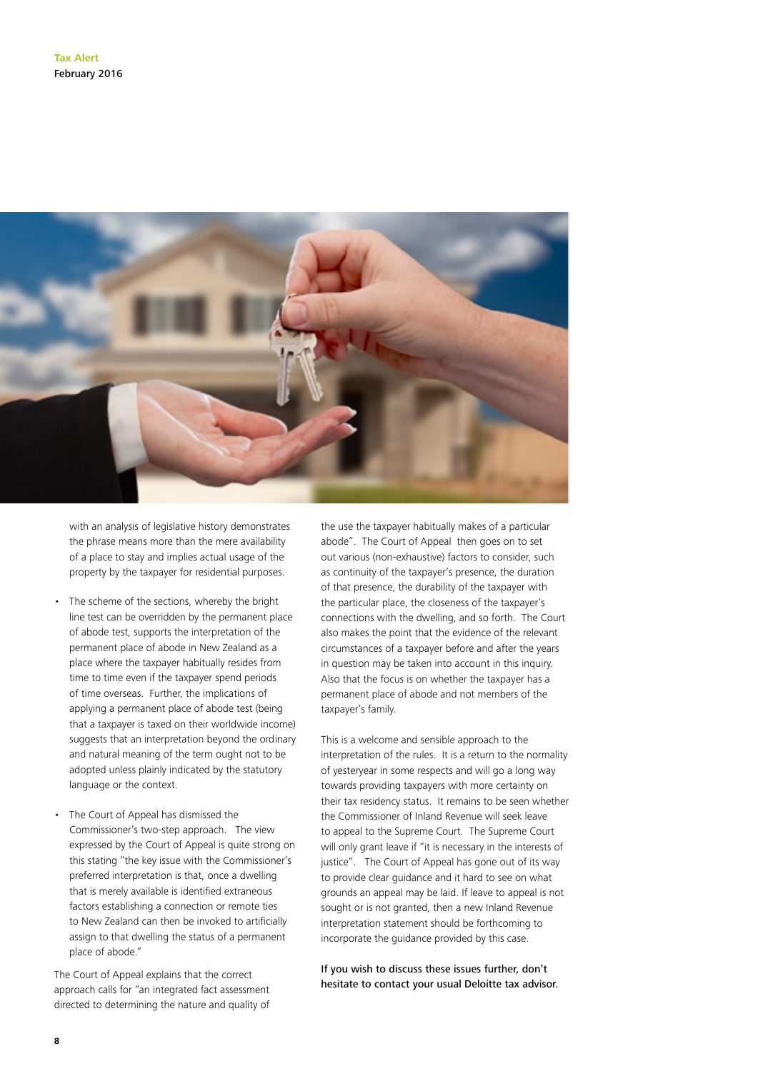

with an analysis of legislative history demonstrates the phrase means more than the mere availability of a place to stay and implies actual usage of the property by the taxpayer for residential purposes.

- The scheme of the sections, whereby the bright line test can be overridden by the permanent place of abode test, supports the interpretation of the permanent place of abode in New Zealand as a place where the taxpayer habitually resides from time to time even if the taxpayer spend periods of time overseas. Further, the implications of applying a permanent place of abode test (being that a taxpayer is taxed on their worldwide income) suggests that an interpretation beyond the ordinary and natural meaning of the term ought not to be adopted unless plainly indicated by the statutory language or the context.
- The Court of Appeal has dismissed the Commissioner's two-step approach. The view expressed by the Court of Appeal is quite strong on this stating "the key issue with the Commissioner's preferred interpretation is that, once a dwelling that is merely available is identified extraneous factors establishing a connection or remote ties to New Zealand can then be invoked to artificially assign to that dwelling the status of a permanent place of abode."

The Court of Appeal explains that the correct approach calls for "an integrated fact assessment directed to determining the nature and quality of the use the taxpayer habitually makes of a particular abode". The Court of Appeal then goes on to set out various (non-exhaustive) factors to consider, such as continuity of the taxpayer's presence, the duration of that presence, the durability of the taxpayer with the particular place, the closeness of the taxpayer's connections with the dwelling, and so forth. The Court also makes the point that the evidence of the relevant circumstances of a taxpayer before and after the years in question may be taken into account in this inquiry. Also that the focus is on whether the taxpayer has a permanent place of abode and not members of the taxpayer's family.

This is a welcome and sensible approach to the interpretation of the rules. It is a return to the normality of yesteryear in some respects and will go a long way towards providing taxpayers with more certainty on their tax residency status. It remains to be seen whether the Commissioner of Inland Revenue will seek leave to appeal to the Supreme Court. The Supreme Court will only grant leave if "it is necessary in the interests of justice". The Court of Appeal has gone out of its way to provide clear guidance and it hard to see on what grounds an appeal may be laid. If leave to appeal is not sought or is not granted, then a new Inland Revenue interpretation statement should be forthcoming to incorporate the guidance provided by this case.

If you wish to discuss these issues further, don't hesitate to contact your usual Deloitte tax advisor.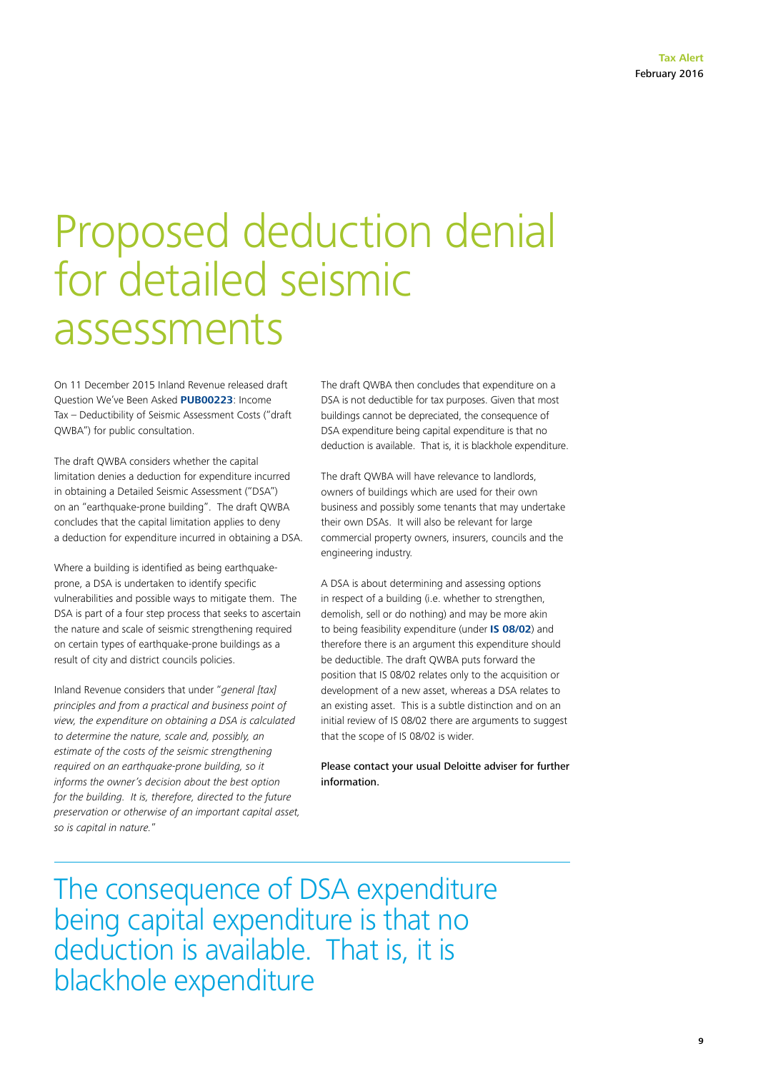### Proposed deduction denial for detailed seismic assessments

On 11 December 2015 Inland Revenue released draft Question We've Been Asked **[PUB00223](http://www.ird.govt.nz/resources/d/9/d9337f75-dbd6-4942-ba1b-bf2e1cadd1c8/pub00223.pdf)**: Income Tax – Deductibility of Seismic Assessment Costs ("draft QWBA") for public consultation.

The draft QWBA considers whether the capital limitation denies a deduction for expenditure incurred in obtaining a Detailed Seismic Assessment ("DSA") on an "earthquake-prone building". The draft QWBA concludes that the capital limitation applies to deny a deduction for expenditure incurred in obtaining a DSA.

Where a building is identified as being earthquakeprone, a DSA is undertaken to identify specific vulnerabilities and possible ways to mitigate them. The DSA is part of a four step process that seeks to ascertain the nature and scale of seismic strengthening required on certain types of earthquake-prone buildings as a result of city and district councils policies.

Inland Revenue considers that under "*general [tax] principles and from a practical and business point of view, the expenditure on obtaining a DSA is calculated to determine the nature, scale and, possibly, an estimate of the costs of the seismic strengthening required on an earthquake-prone building, so it informs the owner's decision about the best option for the building. It is, therefore, directed to the future preservation or otherwise of an important capital asset, so is capital in nature.*"

The draft QWBA then concludes that expenditure on a DSA is not deductible for tax purposes. Given that most buildings cannot be depreciated, the consequence of DSA expenditure being capital expenditure is that no deduction is available. That is, it is blackhole expenditure.

The draft QWBA will have relevance to landlords, owners of buildings which are used for their own business and possibly some tenants that may undertake their own DSAs. It will also be relevant for large commercial property owners, insurers, councils and the engineering industry.

A DSA is about determining and assessing options in respect of a building (i.e. whether to strengthen, demolish, sell or do nothing) and may be more akin to being feasibility expenditure (under **[IS 08/02](http://www.ird.govt.nz/resources/f/4/f48bcf804ba38312a1e9bd9ef8e4b077/is0802.pdf)**) and therefore there is an argument this expenditure should be deductible. The draft QWBA puts forward the position that IS 08/02 relates only to the acquisition or development of a new asset, whereas a DSA relates to an existing asset. This is a subtle distinction and on an initial review of IS 08/02 there are arguments to suggest that the scope of IS 08/02 is wider.

Please contact your usual Deloitte adviser for further information.

The consequence of DSA expenditure being capital expenditure is that no deduction is available. That is, it is blackhole expenditure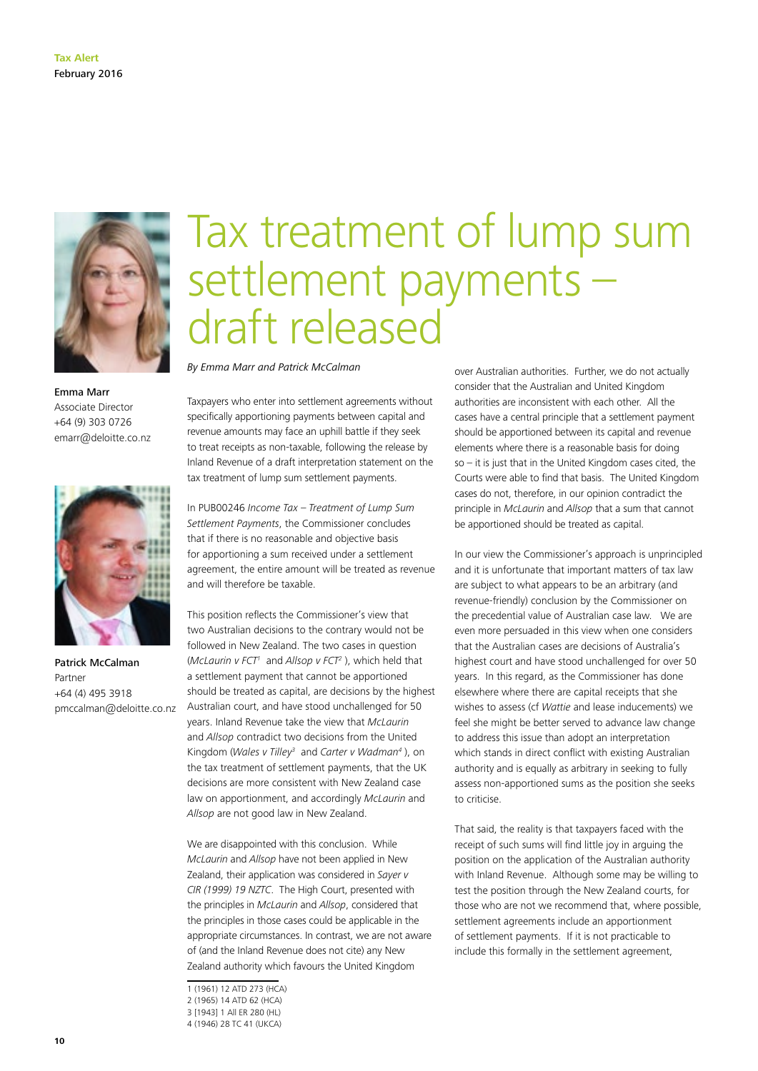

Emma Marr Associate Director +64 (9) 303 0726 emarr@deloitte.co.nz



Patrick McCalman Partner +64 (4) 495 3918 pmccalman@deloitte.co.nz

### Tax treatment of lump sum settlement payments – draft released

*By Emma Marr and Patrick McCalman*

Taxpayers who enter into settlement agreements without specifically apportioning payments between capital and revenue amounts may face an uphill battle if they seek to treat receipts as non-taxable, following the release by Inland Revenue of a draft interpretation statement on the tax treatment of lump sum settlement payments.

In PUB00246 *Income Tax – Treatment of Lump Sum Settlement Payments*, the Commissioner concludes that if there is no reasonable and objective basis for apportioning a sum received under a settlement agreement, the entire amount will be treated as revenue and will therefore be taxable.

This position reflects the Commissioner's view that two Australian decisions to the contrary would not be followed in New Zealand. The two cases in question (*McLaurin v FCT<sup>1</sup>* and *Allsop v FCT<sup>2</sup>)*, which held that a settlement payment that cannot be apportioned should be treated as capital, are decisions by the highest Australian court, and have stood unchallenged for 50 years. Inland Revenue take the view that *McLaurin*  and *Allsop* contradict two decisions from the United Kingdom (*Wales v Tilley3* and *Carter v Wadman4* ), on the tax treatment of settlement payments, that the UK decisions are more consistent with New Zealand case law on apportionment, and accordingly *McLaurin* and *Allsop* are not good law in New Zealand.

We are disappointed with this conclusion. While *McLaurin* and *Allsop* have not been applied in New Zealand, their application was considered in *Sayer v CIR (1999) 19 NZTC*. The High Court, presented with the principles in *McLaurin* and *Allsop*, considered that the principles in those cases could be applicable in the appropriate circumstances. In contrast, we are not aware of (and the Inland Revenue does not cite) any New Zealand authority which favours the United Kingdom

over Australian authorities. Further, we do not actually consider that the Australian and United Kingdom authorities are inconsistent with each other. All the cases have a central principle that a settlement payment should be apportioned between its capital and revenue elements where there is a reasonable basis for doing so – it is just that in the United Kingdom cases cited, the Courts were able to find that basis. The United Kingdom cases do not, therefore, in our opinion contradict the principle in *McLaurin* and *Allsop* that a sum that cannot be apportioned should be treated as capital.

In our view the Commissioner's approach is unprincipled and it is unfortunate that important matters of tax law are subject to what appears to be an arbitrary (and revenue-friendly) conclusion by the Commissioner on the precedential value of Australian case law. We are even more persuaded in this view when one considers that the Australian cases are decisions of Australia's highest court and have stood unchallenged for over 50 years. In this regard, as the Commissioner has done elsewhere where there are capital receipts that she wishes to assess (cf *Wattie* and lease inducements) we feel she might be better served to advance law change to address this issue than adopt an interpretation which stands in direct conflict with existing Australian authority and is equally as arbitrary in seeking to fully assess non-apportioned sums as the position she seeks to criticise.

That said, the reality is that taxpayers faced with the receipt of such sums will find little joy in arguing the position on the application of the Australian authority with Inland Revenue. Although some may be willing to test the position through the New Zealand courts, for those who are not we recommend that, where possible, settlement agreements include an apportionment of settlement payments. If it is not practicable to include this formally in the settlement agreement,

<sup>1 (1961) 12</sup> ATD 273 (HCA)

<sup>2 (1965) 14</sup> ATD 62 (HCA)

<sup>3 [1943] 1</sup> All ER 280 (HL)

<sup>4 (1946) 28</sup> TC 41 (UKCA)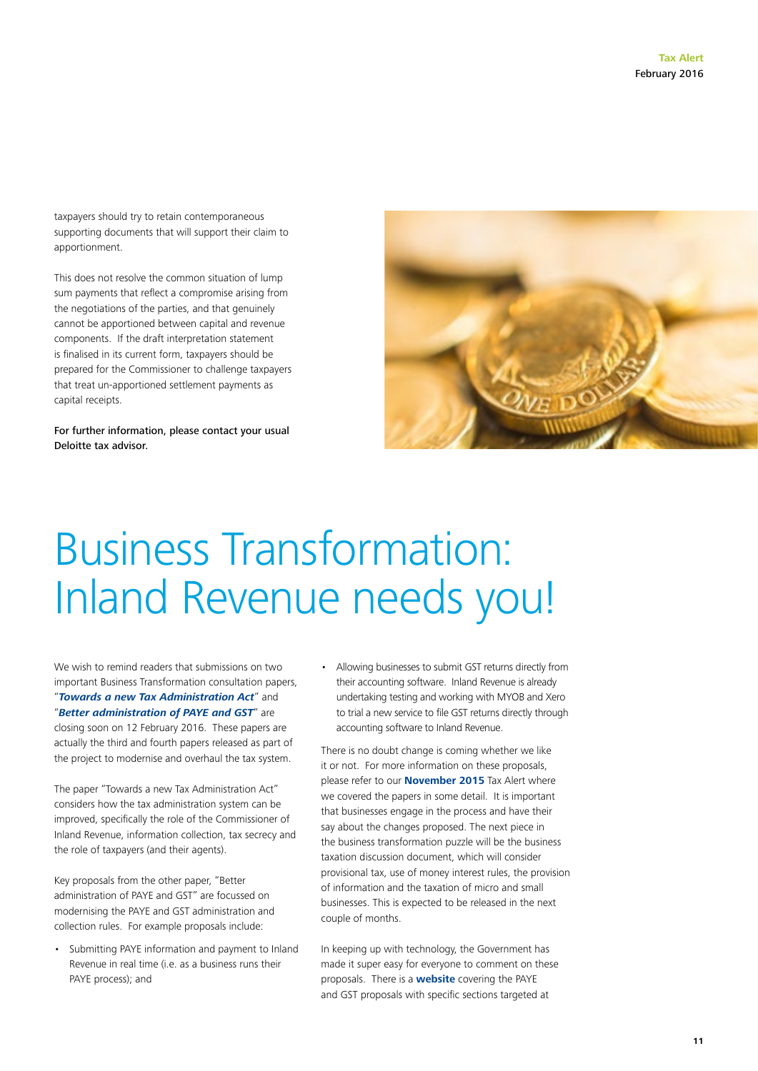taxpayers should try to retain contemporaneous supporting documents that will support their claim to apportionment.

This does not resolve the common situation of lump sum payments that reflect a compromise arising from the negotiations of the parties, and that genuinely cannot be apportioned between capital and revenue components. If the draft interpretation statement is finalised in its current form, taxpayers should be prepared for the Commissioner to challenge taxpayers that treat un-apportioned settlement payments as capital receipts.

For further information, please contact your usual Deloitte tax advisor.



## Business Transformation: Inland Revenue needs you!

We wish to remind readers that submissions on two important Business Transformation consultation papers, "*[Towards a new Tax Administration Act](http://taxpolicy.ird.govt.nz/sites/default/files/2015-dd-mts-3-tax-administration.pdf)*" and "*[Better administration of PAYE and GST](http://taxpolicy.ird.govt.nz/sites/default/files/2015-dd-mts-4-paye-gst.pdf)*" are closing soon on 12 February 2016. These papers are actually the third and fourth papers released as part of the project to modernise and overhaul the tax system.

The paper "Towards a new Tax Administration Act" considers how the tax administration system can be improved, specifically the role of the Commissioner of Inland Revenue, information collection, tax secrecy and the role of taxpayers (and their agents).

Key proposals from the other paper, "Better administration of PAYE and GST" are focussed on modernising the PAYE and GST administration and collection rules. For example proposals include:

• Submitting PAYE information and payment to Inland Revenue in real time (i.e. as a business runs their PAYE process); and

• Allowing businesses to submit GST returns directly from their accounting software. Inland Revenue is already undertaking testing and working with MYOB and Xero to trial a new service to file GST returns directly through accounting software to Inland Revenue.

There is no doubt change is coming whether we like it or not. For more information on these proposals, please refer to our **[November 2015](http://www2.deloitte.com/nz/en/pages/tax-alerts/articles/business-transformation-tax-system-modernisation.html)** Tax Alert where we covered the papers in some detail. It is important that businesses engage in the process and have their say about the changes proposed. The next piece in the business transformation puzzle will be the business taxation discussion document, which will consider provisional tax, use of money interest rules, the provision of information and the taxation of micro and small businesses. This is expected to be released in the next couple of months.

In keeping up with technology, the Government has made it super easy for everyone to comment on these proposals. There is a **[website](https://payeandgst.makingtaxsimpler.ird.govt.nz/forum)** covering the PAYE and GST proposals with specific sections targeted at